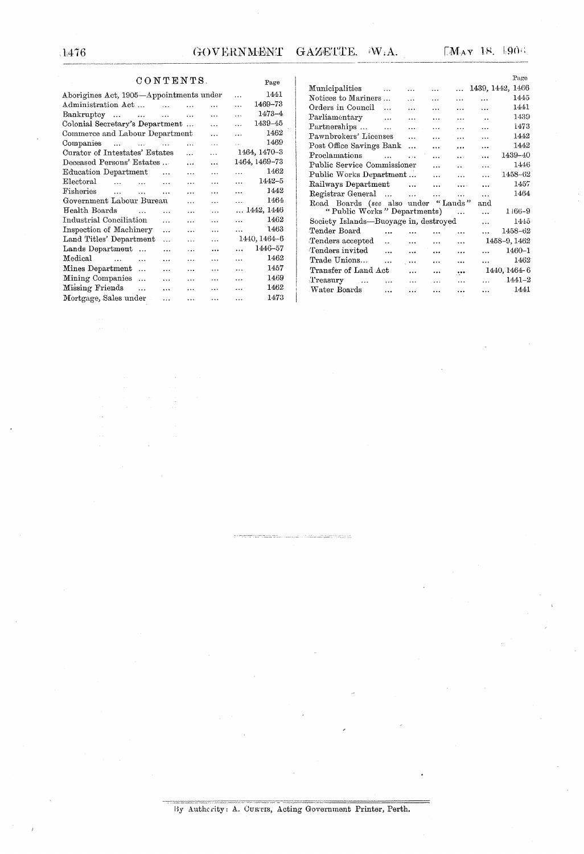| CONTENTS.                                                           | Page                                                       |
|---------------------------------------------------------------------|------------------------------------------------------------|
| Aborigines Act, 1905—Appointments under                             | Municipalities<br>1441<br>$\ddotsc$<br>Notices to Mariners |
| Administration Act<br>$\cdots$                                      | 1469-73<br>$\ddotsc$<br>Orders in Council                  |
| $Bankruptcy \dots \dots \dots \dots$<br>$\ddotsc$                   | 1473-4<br>$\ddotsc$<br>Parliamentary                       |
| Colonial Secretary's Department<br>$\ddotsc$                        | 1439-45<br>$\cdots$<br>Partnerships                        |
| Commerce and Labour Department<br>$\cdots$                          | 1462<br>$\ddotsc$<br>Pawnbrokers' Licen                    |
| Companies<br>$\sim$ 1440<br><b>Contractor</b>                       | 1469<br>$\mathcal{L}(\mathcal{L})$<br>Post Office Savings  |
| Curator of Intestates' Estates<br>$\cdots$                          | 1464, 1470-3<br>Proclamations                              |
| Deceased Persons' Estates<br>$\ddotsc$<br>$\cdots$                  | 1464, 1469-73<br>Public Service Com                        |
| Education Department<br>$\cdots$<br>$\cdots$                        | 1462<br>$\cdots$<br>Public Works Depa:                     |
| Electoral<br>$\mathbf{1}$                                           | 1442-5<br>$\cdots$<br>Railways Departme                    |
| Fisheries<br>$\ddotsc$<br>$\cdots$                                  | 1442<br>$\ddotsc$<br>Registrar General                     |
| Government Labour Bureau<br>$\mathbf{r}$<br>$\ddotsc$               | 1464<br>$\ddotsc$<br>Road Boards (see                      |
| Health Boards<br>$\sim$ $\sim$<br>$\ddotsc$<br>$\cdots$<br>$\cdots$ | 1442, 1446<br>"Public Works                                |
| Industrial Conciliation<br>$\cdots$<br>$\ddotsc$<br>$\cdots$        | 1462<br>$\ddotsc$<br>Society Islands-B                     |
| Inspection of Machinery<br>$\cdots$<br>$\ddotsc$<br>$\cdots$        | 1463<br>$\dddot{\phantom{1}}$<br>Tender Board              |
| Land Titles' Department<br>$\ddotsc$<br>$\ddotsc$<br>$\cdots$       | 1440, 1464–6<br>Tenders accepted                           |
| Lands Department<br><b>ARACIO</b><br>$\ddotsc$<br>$\ddotsc$         | 1446-57<br>$\cdots$<br>Tenders invited                     |
| Medical<br>$\ddotsc$<br>$\cdots$<br>$\ddotsc$<br>$\cdots$           | 1462<br>$\ddotsc$<br>Trade Unions                          |
| Mines Department<br>$\cdots$<br>$\cdots$                            | 1457<br>$\cdots$ $\cdots$<br>Transfer of Land A            |
| Mining Companies<br>$\ddotsc$<br>asset the<br>$\cdots$              | 1469<br>$\ddotsc$<br>Treasury                              |
| Missing Friends<br>$\ddotsc$<br>$\cdots$<br>$\cdots$                | 1462<br>$\cdots$<br>Water Boards                           |
| Mortgage, Sales under<br>$\ddotsc$<br>$\cdots$<br>$\ddotsc$         | 1473<br>.                                                  |

|                                       |                      |                         |           |           |                      | Page         |
|---------------------------------------|----------------------|-------------------------|-----------|-----------|----------------------|--------------|
| Municipalities                        | $\ddotsc$            | .                       | $\ddotsc$ | $\ddotsc$ | 1439, 1442,          | 1466         |
| Notices to Mariners                   |                      | $\cdots$                | .         | $\cdots$  | .                    | 1445         |
| Orders in Council                     | $\ddotsc$            | $\cdots$                | $\cdots$  | .         | $\ddotsc$            | 1441         |
| Parliamentary                         | $\ddotsc$            | $\cdots$                | $\cdots$  | $\cdots$  | $\ddot{\phantom{a}}$ | 1439         |
| Partnerships                          | $\ddot{\phantom{a}}$ |                         | $\ddotsc$ | $\ddotsc$ | .                    | 1473         |
| Pawnbrokers' Licenses                 |                      | $\ddotsc$               | .         | $\ddotsc$ | $\cdot$ $\cdot$      | 1442         |
| Post Office Savings Bank              |                      | $\ddotsc$               | $\ddotsc$ | $\ddotsc$ | .                    | 1442         |
| Proclamations                         | $\sim$               | $\ddotsc$               | $\ddotsc$ | $\ddotsc$ | $\ddotsc$            | 1439-40      |
| Public Service Commissioner           |                      |                         | $\ddotsc$ | a a       | $\ddotsc$            | 1446         |
| Public Works Department               |                      |                         | $\ddotsc$ | $\ddotsc$ | $\ddotsc$            | 1458-62      |
| Railways Department                   |                      | $\cdots$                | $\ddotsc$ | $\cdots$  | $\ddotsc$            | 1457         |
| Registrar General                     |                      | $\sim 100$ km s $^{-1}$ | $\ddotsc$ | $\ddotsc$ | $\ddotsc$            | 1464         |
| Road Boards (see also under "Lands"   |                      |                         |           |           | and                  |              |
| "Public Works" Departments)           |                      |                         |           |           | $\ldots$             | 1166-9       |
| Society Islands—Buoyage in, destroyed |                      |                         |           |           | $\cdots$             | 1445         |
| Tender Board                          | $\ddotsc$            | $\ddotsc$               | $\ddotsc$ |           | $\ddotsc$            | 1458-62      |
| Tenders accepted                      | $\ddot{\phantom{a}}$ | $\ddotsc$               | $\ddotsc$ | $\ddotsc$ |                      | 1458-9, 1462 |
| Tenders invited                       | .                    | $\cdots$                | $\ddotsc$ | $\cdots$  | $\ddotsc$            | 1460-1       |
| Trade Unions                          | .                    | $\cdots$                | $\ddotsc$ |           | .                    | 1462         |
| Transfer of Land Act                  |                      | $\ddotsc$               | $\ddotsc$ |           |                      | 1440, 1464-6 |
| Treasury<br>$\sim$ 100 $\sim$         | $\cdots$             | $\cdots$                | $\cdots$  | $\ddotsc$ |                      | $-1441-2$    |
| Water Boards                          | $\ddotsc$            | $\ddotsc$               |           |           | .                    | $-1441$      |
|                                       |                      |                         |           |           |                      |              |

**L476** 

By Autherity: A. CURTIS, Acting Government Printer, Perth.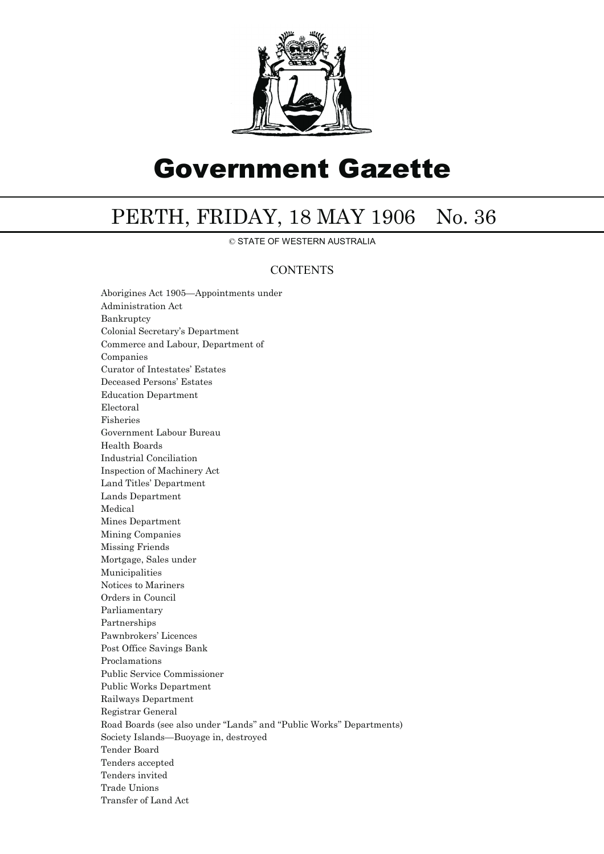

## Government Gazette

## PERTH, FRIDAY, 18 MAY 1906 No. 36

© STATE OF WESTERN AUSTRALIA

## **CONTENTS**

Aborigines Act 1905—Appointments under Administration Act Bankruptcy Colonial Secretary's Department Commerce and Labour, Department of Companies Curator of Intestates' Estates Deceased Persons' Estates Education Department Electoral Fisheries Government Labour Bureau Health Boards Industrial Conciliation Inspection of Machinery Act Land Titles' Department Lands Department Medical Mines Department Mining Companies Missing Friends Mortgage, Sales under Municipalities Notices to Mariners Orders in Council Parliamentary Partnerships Pawnbrokers' Licences Post Office Savings Bank Proclamations Public Service Commissioner Public Works Department Railways Department Registrar General Road Boards (see also under ''Lands'' and ''Public Works'' Departments) Society Islands—Buoyage in, destroyed Tender Board Tenders accepted Tenders invited Trade Unions Transfer of Land Act